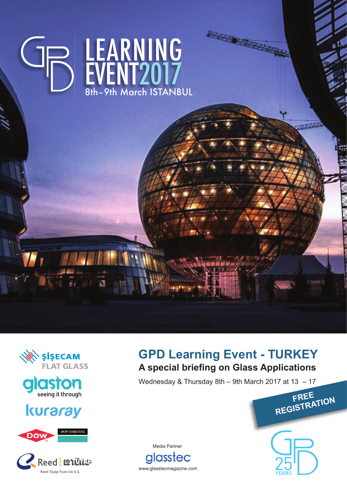





## kuraray





## **GPD Learning Event - TURKEY A special briefing on Glass Applications**

Wednesday & Thursday 8th – 9th March 2017 at 13 – 17

Media Partner **alasstec** 

www.glasstecmagazine.com